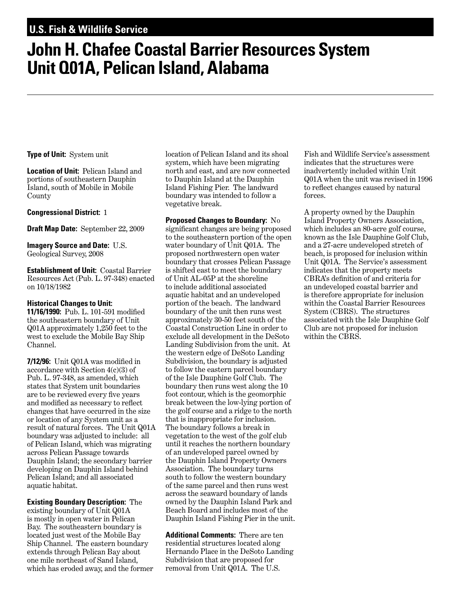## **U.S. Fish & Wildlife Service**

# **John H. Chafee Coastal Barrier Resources System Unit Q01A, Pelican Island, Alabama**

**Type of Unit:** System unit

**Location of Unit:** Pelican Island and portions of southeastern Dauphin Island, south of Mobile in Mobile County

#### **Congressional District:** 1

**Draft Map Date:** September 22, 2009

**Imagery Source and Date:** U.S. Geological Survey, 2008

**Establishment of Unit:** Coastal Barrier Resources Act (Pub. L. 97-348) enacted on 10/18/1982

#### **Historical Changes to Unit:**

**11/16/1990:** Pub. L. 101-591 modified the southeastern boundary of Unit Q01A approximately 1,250 feet to the west to exclude the Mobile Bay Ship Channel.

**7/12/96:** Unit Q01A was modified in accordance with Section 4(c)(3) of Pub. L. 97-348, as amended, which states that System unit boundaries are to be reviewed every five years and modified as necessary to reflect changes that have occurred in the size or location of any System unit as a result of natural forces. The Unit Q01A boundary was adjusted to include: all of Pelican Island, which was migrating across Pelican Passage towards Dauphin Island; the secondary barrier developing on Dauphin Island behind Pelican Island; and all associated aquatic habitat.

**Existing Boundary Description:** The existing boundary of Unit Q01A is mostly in open water in Pelican Bay. The southeastern boundary is located just west of the Mobile Bay Ship Channel. The eastern boundary extends through Pelican Bay about one mile northeast of Sand Island, which has eroded away, and the former location of Pelican Island and its shoal system, which have been migrating north and east, and are now connected to Dauphin Island at the Dauphin Island Fishing Pier. The landward boundary was intended to follow a vegetative break.

**Proposed Changes to Boundary:** No significant changes are being proposed to the southeastern portion of the open water boundary of Unit Q01A. The proposed northwestern open water boundary that crosses Pelican Passage is shifted east to meet the boundary of Unit AL-05P at the shoreline to include additional associated aquatic habitat and an undeveloped portion of the beach. The landward boundary of the unit then runs west approximately 30-50 feet south of the Coastal Construction Line in order to exclude all development in the DeSoto Landing Subdivision from the unit. At the western edge of DeSoto Landing Subdivision, the boundary is adjusted to follow the eastern parcel boundary of the Isle Dauphine Golf Club. The boundary then runs west along the 10 foot contour, which is the geomorphic break between the low-lying portion of the golf course and a ridge to the north that is inappropriate for inclusion. The boundary follows a break in vegetation to the west of the golf club until it reaches the northern boundary of an undeveloped parcel owned by the Dauphin Island Property Owners Association. The boundary turns south to follow the western boundary of the same parcel and then runs west across the seaward boundary of lands owned by the Dauphin Island Park and Beach Board and includes most of the Dauphin Island Fishing Pier in the unit.

**Additional Comments:** There are ten residential structures located along Hernando Place in the DeSoto Landing Subdivision that are proposed for removal from Unit Q01A. The U.S.

Fish and Wildlife Service's assessment indicates that the structures were inadvertently included within Unit Q01A when the unit was revised in 1996 to reflect changes caused by natural forces.

A property owned by the Dauphin Island Property Owners Association, which includes an 80-acre golf course, known as the Isle Dauphine Golf Club, and a 27-acre undeveloped stretch of beach, is proposed for inclusion within Unit Q01A. The Service's assessment indicates that the property meets CBRA's definition of and criteria for an undeveloped coastal barrier and is therefore appropriate for inclusion within the Coastal Barrier Resources System (CBRS). The structures associated with the Isle Dauphine Golf Club are not proposed for inclusion within the CBRS.